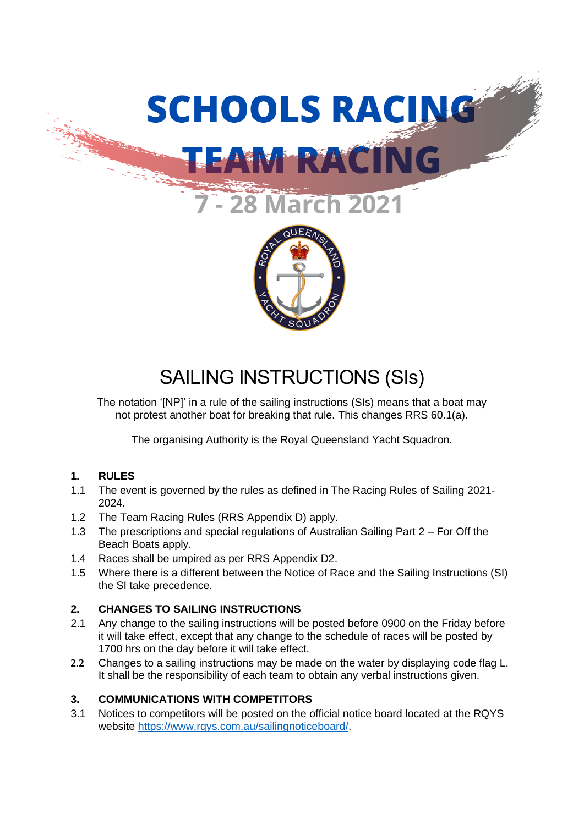



# SAILING INSTRUCTIONS (SIs)

The notation '[NP]' in a rule of the sailing instructions (SIs) means that a boat may not protest another boat for breaking that rule. This changes RRS 60.1(a).

The organising Authority is the Royal Queensland Yacht Squadron.

# **1. RULES**

- 1.1 The event is governed by the rules as defined in The Racing Rules of Sailing 2021- 2024.
- 1.2 The Team Racing Rules (RRS Appendix D) apply.
- 1.3 The prescriptions and special regulations of Australian Sailing Part 2 For Off the Beach Boats apply.
- 1.4 Races shall be umpired as per RRS Appendix D2.
- 1.5 Where there is a different between the Notice of Race and the Sailing Instructions (SI) the SI take precedence.

# **2. CHANGES TO SAILING INSTRUCTIONS**

- 2.1 Any change to the sailing instructions will be posted before 0900 on the Friday before it will take effect, except that any change to the schedule of races will be posted by 1700 hrs on the day before it will take effect.
- **2.2** Changes to a sailing instructions may be made on the water by displaying code flag L. It shall be the responsibility of each team to obtain any verbal instructions given.

# **3. COMMUNICATIONS WITH COMPETITORS**

3.1 Notices to competitors will be posted on the official notice board located at the RQYS website [https://www.rqys.com.au/sailingnoticeboard/.](https://www.rqys.com.au/sailingnoticeboard/)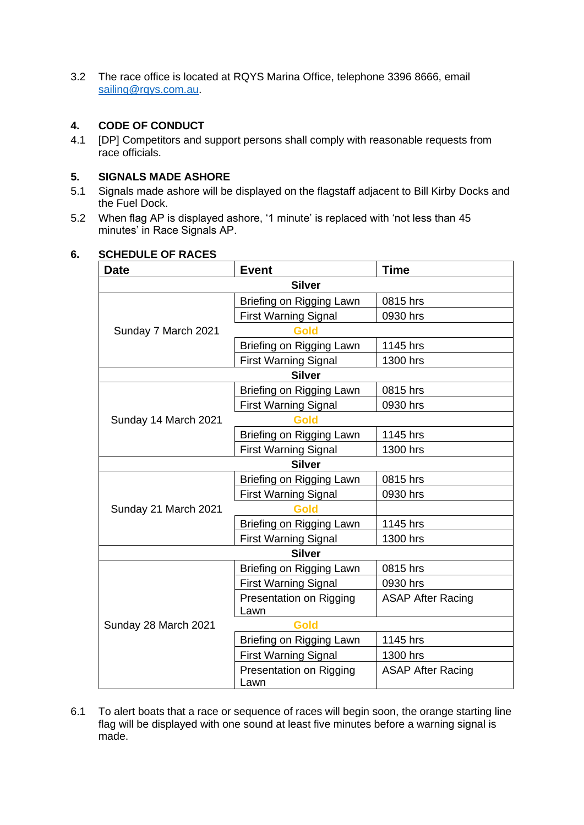3.2 The race office is located at RQYS Marina Office, telephone 3396 8666, email [sailing@rqys.com.au.](mailto:sailing@rqys.com.au)

## **4. CODE OF CONDUCT**

4.1 [DP] Competitors and support persons shall comply with reasonable requests from race officials.

### **5. SIGNALS MADE ASHORE**

- 5.1 Signals made ashore will be displayed on the flagstaff adjacent to Bill Kirby Docks and the Fuel Dock.
- 5.2 When flag AP is displayed ashore, '1 minute' is replaced with 'not less than 45 minutes' in Race Signals AP.

# **Date Event Exercise 1 Time Silver** Briefing on Rigging Lawn  $\vert$  0815 hrs First Warning Signal | 0930 hrs Sunday 7 March 2021 **Gold** Briefing on Rigging Lawn  $\vert$  1145 hrs First Warning Signal | 1300 hrs **Silver** Briefing on Rigging Lawn | 0815 hrs First Warning Signal | 0930 hrs Sunday 14 March 2021 **Gold** Briefing on Rigging Lawn | 1145 hrs First Warning Signal | 1300 hrs **Silver** Briefing on Rigging Lawn  $\vert$  0815 hrs First Warning Signal | 0930 hrs Sunday 21 March 2021 **Gold** Briefing on Rigging Lawn | 1145 hrs First Warning Signal | 1300 hrs **Silver** Briefing on Rigging Lawn  $\vert$  0815 hrs First Warning Signal | 0930 hrs Presentation on Rigging Lawn ASAP After Racing Sunday 28 March 2021 **Gold** Briefing on Rigging Lawn | 1145 hrs First Warning Signal | 1300 hrs Presentation on Rigging Lawn ASAP After Racing

### **6. SCHEDULE OF RACES**

6.1 To alert boats that a race or sequence of races will begin soon, the orange starting line flag will be displayed with one sound at least five minutes before a warning signal is made.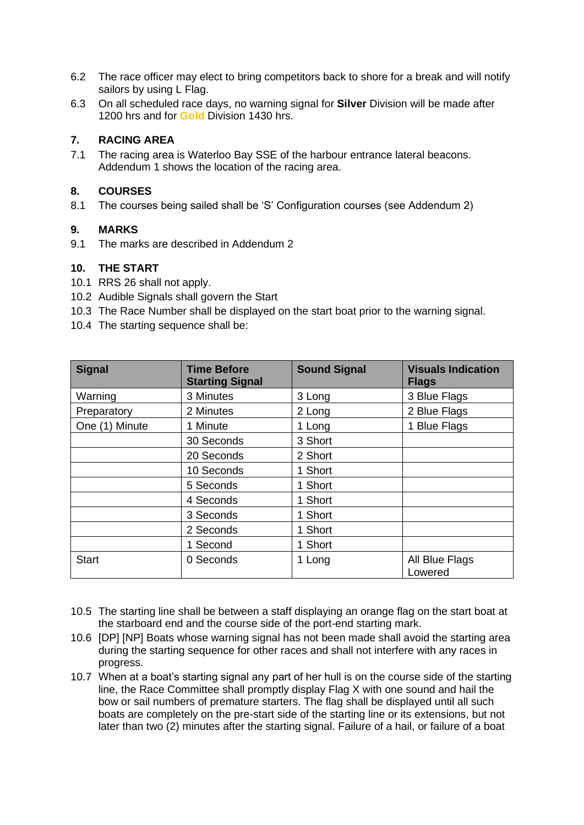- 6.2 The race officer may elect to bring competitors back to shore for a break and will notify sailors by using L Flag.
- 6.3 On all scheduled race days, no warning signal for **Silver** Division will be made after 1200 hrs and for **Gold** Division 1430 hrs.

## **7. RACING AREA**

7.1 The racing area is Waterloo Bay SSE of the harbour entrance lateral beacons. Addendum 1 shows the location of the racing area.

## **8. COURSES**

8.1 The courses being sailed shall be 'S' Configuration courses (see Addendum 2)

## **9. MARKS**

9.1 The marks are described in Addendum 2

## **10. THE START**

- 10.1 RRS 26 shall not apply.
- 10.2 Audible Signals shall govern the Start
- 10.3 The Race Number shall be displayed on the start boat prior to the warning signal.
- 10.4 The starting sequence shall be:

| <b>Signal</b>  | <b>Time Before</b><br><b>Starting Signal</b> | <b>Sound Signal</b> | <b>Visuals Indication</b><br><b>Flags</b> |
|----------------|----------------------------------------------|---------------------|-------------------------------------------|
| Warning        | 3 Minutes                                    | 3 Long              | 3 Blue Flags                              |
| Preparatory    | 2 Minutes                                    | 2 Long              | 2 Blue Flags                              |
| One (1) Minute | 1 Minute                                     | 1 Long              | 1 Blue Flags                              |
|                | 30 Seconds                                   | 3 Short             |                                           |
|                | 20 Seconds                                   | 2 Short             |                                           |
|                | 10 Seconds                                   | 1 Short             |                                           |
|                | 5 Seconds                                    | 1 Short             |                                           |
|                | 4 Seconds                                    | 1 Short             |                                           |
|                | 3 Seconds                                    | 1 Short             |                                           |
|                | 2 Seconds                                    | 1 Short             |                                           |
|                | 1 Second                                     | 1 Short             |                                           |
| <b>Start</b>   | 0 Seconds                                    | 1 Long              | All Blue Flags<br>Lowered                 |

- 10.5 The starting line shall be between a staff displaying an orange flag on the start boat at the starboard end and the course side of the port-end starting mark.
- 10.6 [DP] [NP] Boats whose warning signal has not been made shall avoid the starting area during the starting sequence for other races and shall not interfere with any races in progress.
- 10.7 When at a boat's starting signal any part of her hull is on the course side of the starting line, the Race Committee shall promptly display Flag X with one sound and hail the bow or sail numbers of premature starters. The flag shall be displayed until all such boats are completely on the pre-start side of the starting line or its extensions, but not later than two (2) minutes after the starting signal. Failure of a hail, or failure of a boat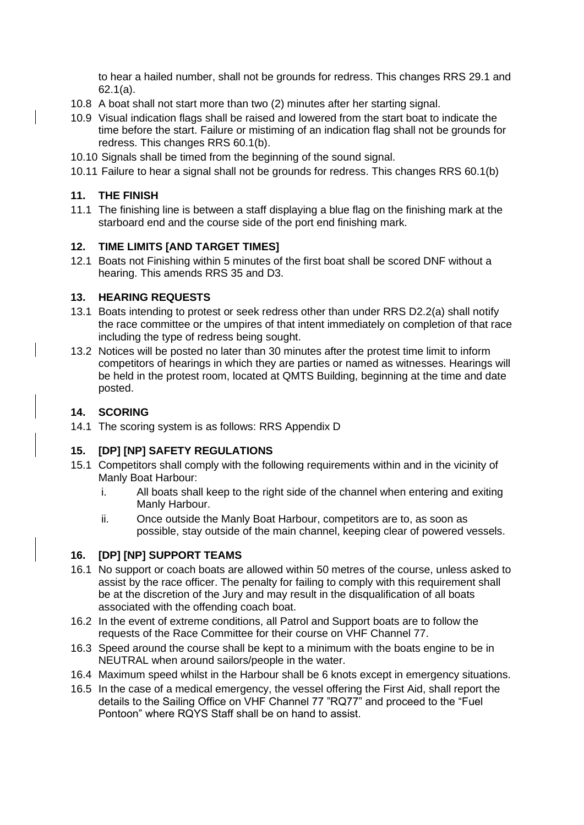to hear a hailed number, shall not be grounds for redress. This changes RRS 29.1 and 62.1(a).

- 10.8 A boat shall not start more than two (2) minutes after her starting signal.
- 10.9 Visual indication flags shall be raised and lowered from the start boat to indicate the time before the start. Failure or mistiming of an indication flag shall not be grounds for redress. This changes RRS 60.1(b).
- 10.10 Signals shall be timed from the beginning of the sound signal.
- 10.11 Failure to hear a signal shall not be grounds for redress. This changes RRS 60.1(b)

#### **11. THE FINISH**

11.1 The finishing line is between a staff displaying a blue flag on the finishing mark at the starboard end and the course side of the port end finishing mark.

#### **12. TIME LIMITS [AND TARGET TIMES]**

12.1 Boats not Finishing within 5 minutes of the first boat shall be scored DNF without a hearing. This amends RRS 35 and D3.

#### **13. HEARING REQUESTS**

- 13.1 Boats intending to protest or seek redress other than under RRS D2.2(a) shall notify the race committee or the umpires of that intent immediately on completion of that race including the type of redress being sought.
- 13.2 Notices will be posted no later than 30 minutes after the protest time limit to inform competitors of hearings in which they are parties or named as witnesses. Hearings will be held in the protest room, located at QMTS Building, beginning at the time and date posted.

#### **14. SCORING**

14.1 The scoring system is as follows: RRS Appendix D

### **15. [DP] [NP] SAFETY REGULATIONS**

- 15.1 Competitors shall comply with the following requirements within and in the vicinity of Manly Boat Harbour:
	- i. All boats shall keep to the right side of the channel when entering and exiting Manly Harbour.
	- ii. Once outside the Manly Boat Harbour, competitors are to, as soon as possible, stay outside of the main channel, keeping clear of powered vessels.

#### **16. [DP] [NP] SUPPORT TEAMS**

- 16.1 No support or coach boats are allowed within 50 metres of the course, unless asked to assist by the race officer. The penalty for failing to comply with this requirement shall be at the discretion of the Jury and may result in the disqualification of all boats associated with the offending coach boat.
- 16.2 In the event of extreme conditions, all Patrol and Support boats are to follow the requests of the Race Committee for their course on VHF Channel 77.
- 16.3 Speed around the course shall be kept to a minimum with the boats engine to be in NEUTRAL when around sailors/people in the water.
- 16.4 Maximum speed whilst in the Harbour shall be 6 knots except in emergency situations.
- 16.5 In the case of a medical emergency, the vessel offering the First Aid, shall report the details to the Sailing Office on VHF Channel 77 "RQ77" and proceed to the "Fuel Pontoon" where RQYS Staff shall be on hand to assist.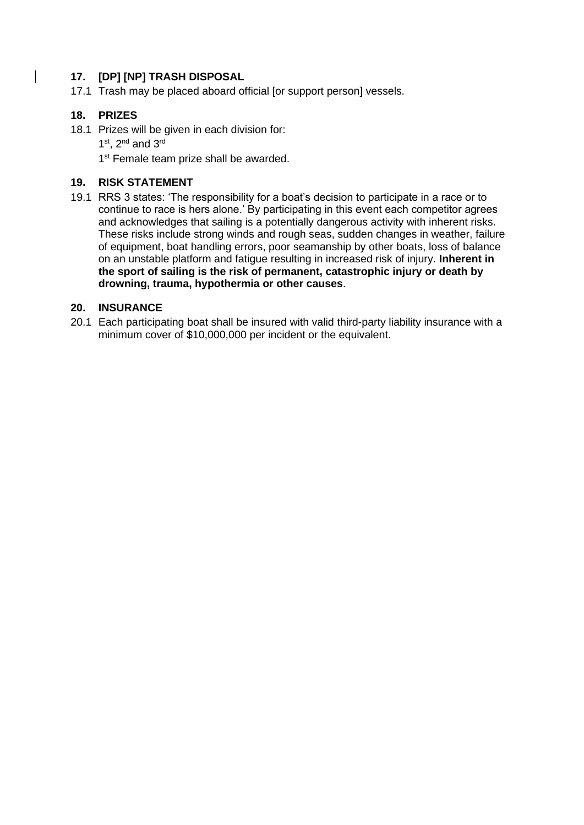## **17. [DP] [NP] TRASH DISPOSAL**

17.1 Trash may be placed aboard official [or support person] vessels.

## **18. PRIZES**

18.1 Prizes will be given in each division for:  $1<sup>st</sup>$ ,  $2<sup>nd</sup>$  and  $3<sup>rd</sup>$ 

1<sup>st</sup> Female team prize shall be awarded.

## **19. RISK STATEMENT**

19.1 RRS 3 states: 'The responsibility for a boat's decision to participate in a race or to continue to race is hers alone.' By participating in this event each competitor agrees and acknowledges that sailing is a potentially dangerous activity with inherent risks. These risks include strong winds and rough seas, sudden changes in weather, failure of equipment, boat handling errors, poor seamanship by other boats, loss of balance on an unstable platform and fatigue resulting in increased risk of injury. **Inherent in the sport of sailing is the risk of permanent, catastrophic injury or death by drowning, trauma, hypothermia or other causes**.

### **20. INSURANCE**

20.1 Each participating boat shall be insured with valid third-party liability insurance with a minimum cover of \$10,000,000 per incident or the equivalent.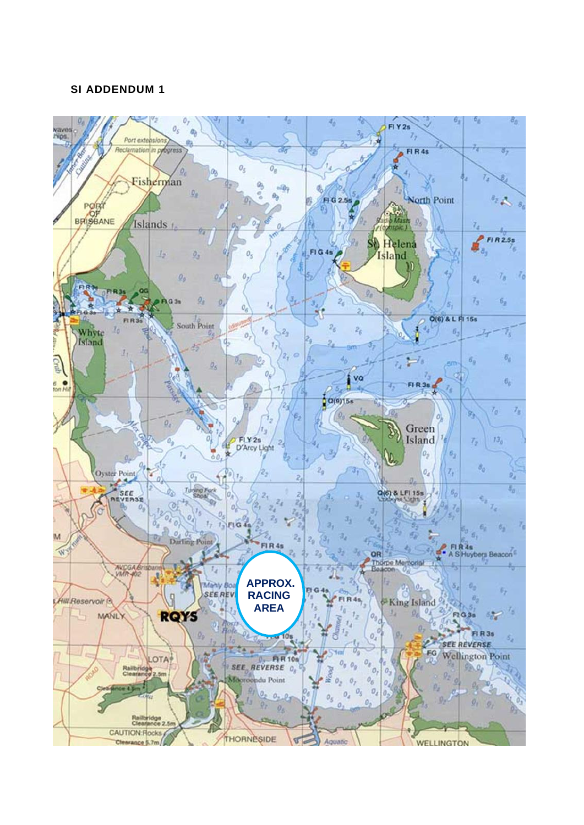## **SI ADDENDUM 1**